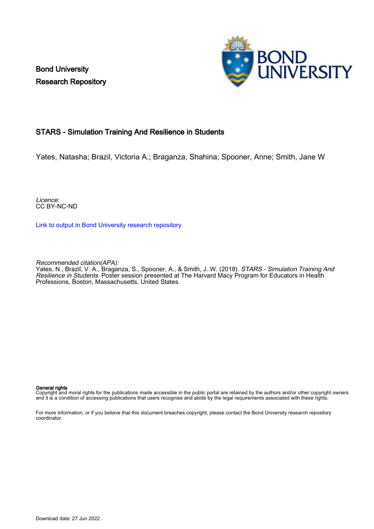Bond University Research Repository



# STARS - Simulation Training And Resilience in Students

Yates, Natasha; Brazil, Victoria A.; Braganza, Shahina; Spooner, Anne; Smith, Jane W

Licence: CC BY-NC-ND

[Link to output in Bond University research repository.](https://research.bond.edu.au/en/publications/167d4a68-ebe2-4b5b-997c-8a8599503ff3)

Recommended citation(APA):

Yates, N., Brazil, V. A., Braganza, S., Spooner, A., & Smith, J. W. (2018). *STARS - Simulation Training And* Resilience in Students. Poster session presented at The Harvard Macy Program for Educators in Health Professions, Boston, Massachusetts, United States.

#### General rights

Copyright and moral rights for the publications made accessible in the public portal are retained by the authors and/or other copyright owners and it is a condition of accessing publications that users recognise and abide by the legal requirements associated with these rights.

For more information, or if you believe that this document breaches copyright, please contact the Bond University research repository coordinator.